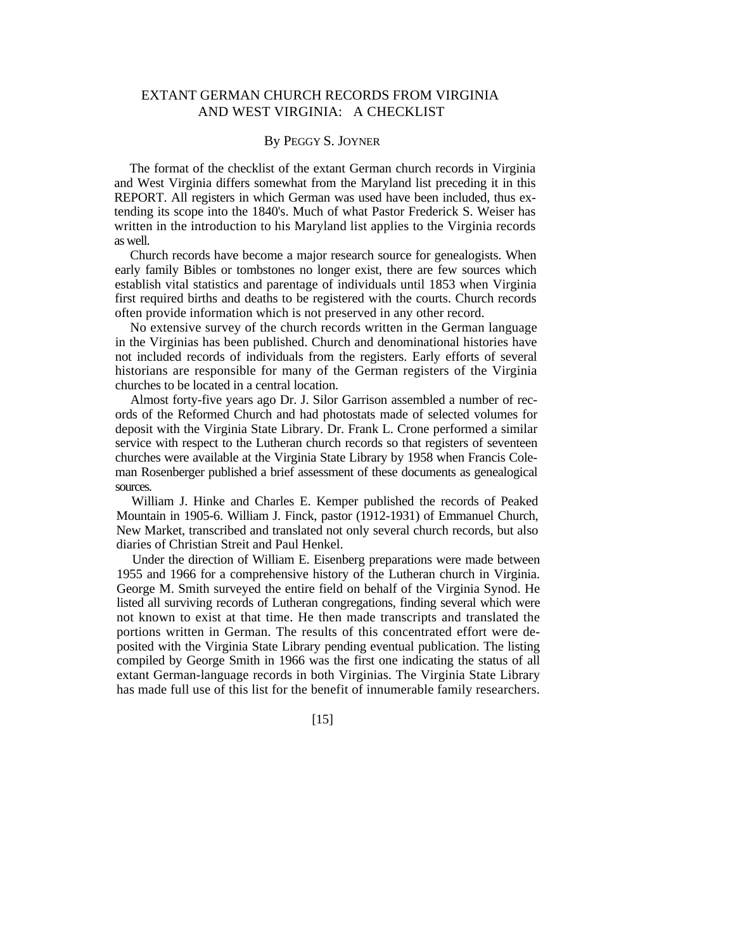# EXTANT GERMAN CHURCH RECORDS FROM VIRGINIA AND WEST VIRGINIA: A CHECKLIST

### By PEGGY S. JOYNER

The format of the checklist of the extant German church records in Virginia and West Virginia differs somewhat from the Maryland list preceding it in this REPORT. All registers in which German was used have been included, thus extending its scope into the 1840's. Much of what Pastor Frederick S. Weiser has written in the introduction to his Maryland list applies to the Virginia records as well.

Church records have become a major research source for genealogists. When early family Bibles or tombstones no longer exist, there are few sources which establish vital statistics and parentage of individuals until 1853 when Virginia first required births and deaths to be registered with the courts. Church records often provide information which is not preserved in any other record.

No extensive survey of the church records written in the German language in the Virginias has been published. Church and denominational histories have not included records of individuals from the registers. Early efforts of several historians are responsible for many of the German registers of the Virginia churches to be located in a central location.

Almost forty-five years ago Dr. J. Silor Garrison assembled a number of records of the Reformed Church and had photostats made of selected volumes for deposit with the Virginia State Library. Dr. Frank L. Crone performed a similar service with respect to the Lutheran church records so that registers of seventeen churches were available at the Virginia State Library by 1958 when Francis Coleman Rosenberger published a brief assessment of these documents as genealogical sources.

William J. Hinke and Charles E. Kemper published the records of Peaked Mountain in 1905-6. William J. Finck, pastor (1912-1931) of Emmanuel Church, New Market, transcribed and translated not only several church records, but also diaries of Christian Streit and Paul Henkel.

Under the direction of William E. Eisenberg preparations were made between 1955 and 1966 for a comprehensive history of the Lutheran church in Virginia. George M. Smith surveyed the entire field on behalf of the Virginia Synod. He listed all surviving records of Lutheran congregations, finding several which were not known to exist at that time. He then made transcripts and translated the portions written in German. The results of this concentrated effort were deposited with the Virginia State Library pending eventual publication. The listing compiled by George Smith in 1966 was the first one indicating the status of all extant German-language records in both Virginias. The Virginia State Library has made full use of this list for the benefit of innumerable family researchers.

[15]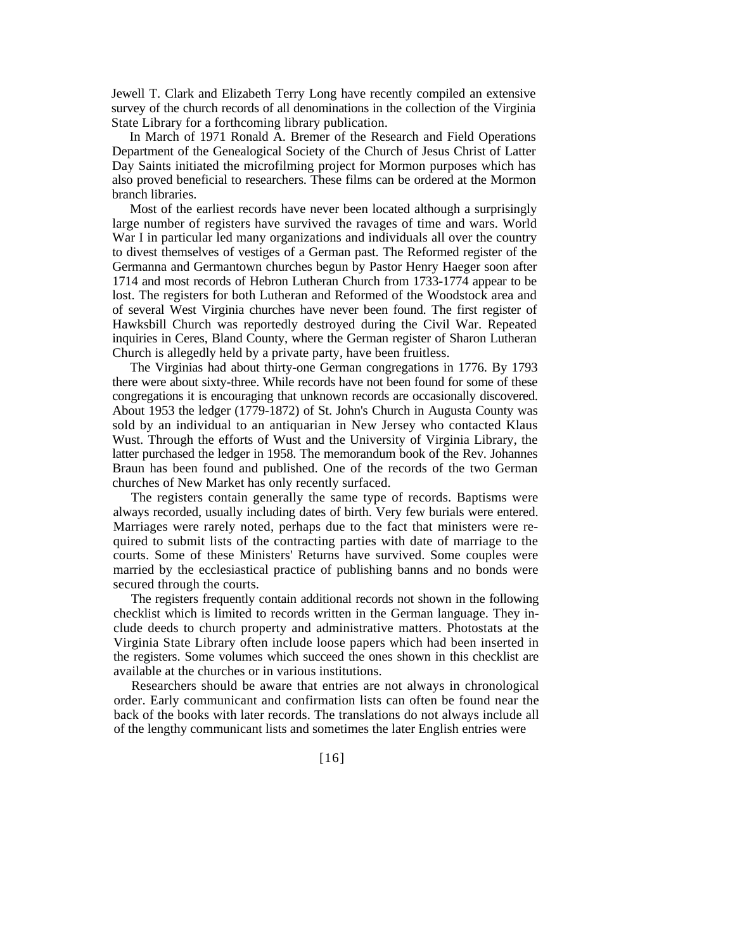Jewell T. Clark and Elizabeth Terry Long have recently compiled an extensive survey of the church records of all denominations in the collection of the Virginia State Library for a forthcoming library publication.

In March of 1971 Ronald A. Bremer of the Research and Field Operations Department of the Genealogical Society of the Church of Jesus Christ of Latter Day Saints initiated the microfilming project for Mormon purposes which has also proved beneficial to researchers. These films can be ordered at the Mormon branch libraries.

Most of the earliest records have never been located although a surprisingly large number of registers have survived the ravages of time and wars. World War I in particular led many organizations and individuals all over the country to divest themselves of vestiges of a German past. The Reformed register of the Germanna and Germantown churches begun by Pastor Henry Haeger soon after 1714 and most records of Hebron Lutheran Church from 1733-1774 appear to be lost. The registers for both Lutheran and Reformed of the Woodstock area and of several West Virginia churches have never been found. The first register of Hawksbill Church was reportedly destroyed during the Civil War. Repeated inquiries in Ceres, Bland County, where the German register of Sharon Lutheran Church is allegedly held by a private party, have been fruitless.

The Virginias had about thirty-one German congregations in 1776. By 1793 there were about sixty-three. While records have not been found for some of these congregations it is encouraging that unknown records are occasionally discovered. About 1953 the ledger (1779-1872) of St. John's Church in Augusta County was sold by an individual to an antiquarian in New Jersey who contacted Klaus Wust. Through the efforts of Wust and the University of Virginia Library, the latter purchased the ledger in 1958. The memorandum book of the Rev. Johannes Braun has been found and published. One of the records of the two German churches of New Market has only recently surfaced.

The registers contain generally the same type of records. Baptisms were always recorded, usually including dates of birth. Very few burials were entered. Marriages were rarely noted, perhaps due to the fact that ministers were required to submit lists of the contracting parties with date of marriage to the courts. Some of these Ministers' Returns have survived. Some couples were married by the ecclesiastical practice of publishing banns and no bonds were secured through the courts.

The registers frequently contain additional records not shown in the following checklist which is limited to records written in the German language. They include deeds to church property and administrative matters. Photostats at the Virginia State Library often include loose papers which had been inserted in the registers. Some volumes which succeed the ones shown in this checklist are available at the churches or in various institutions.

Researchers should be aware that entries are not always in chronological order. Early communicant and confirmation lists can often be found near the back of the books with later records. The translations do not always include all of the lengthy communicant lists and sometimes the later English entries were

[16]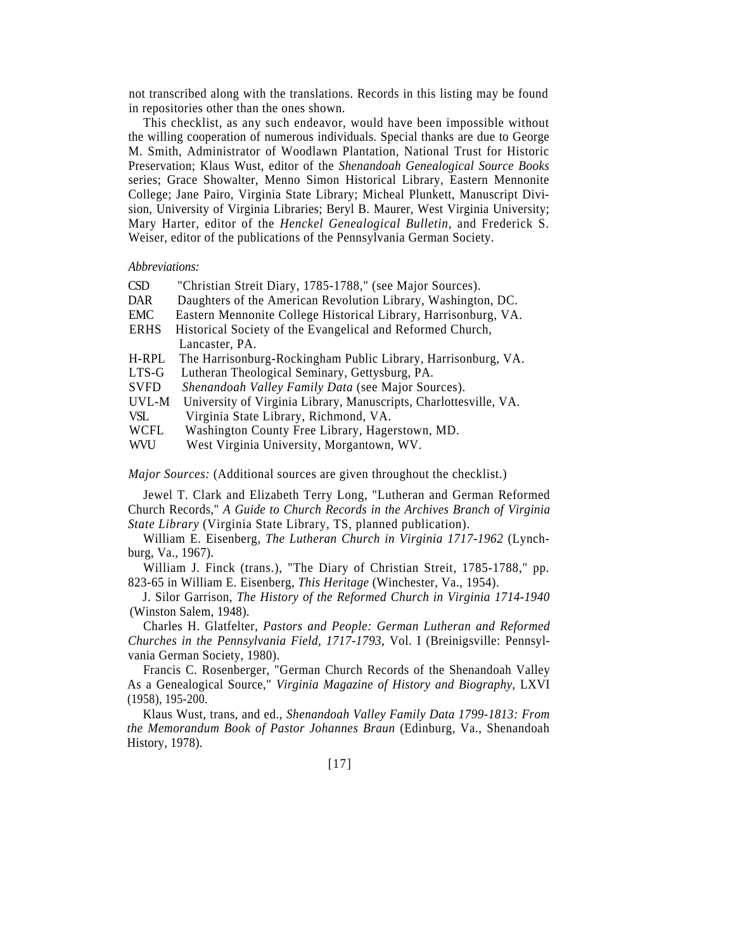not transcribed along with the translations. Records in this listing may be found in repositories other than the ones shown.

This checklist, as any such endeavor, would have been impossible without the willing cooperation of numerous individuals. Special thanks are due to George M. Smith, Administrator of Woodlawn Plantation, National Trust for Historic Preservation; Klaus Wust, editor of the *Shenandoah Genealogical Source Books*  series; Grace Showalter, Menno Simon Historical Library, Eastern Mennonite College; Jane Pairo, Virginia State Library; Micheal Plunkett, Manuscript Division, University of Virginia Libraries; Beryl B. Maurer, West Virginia University; Mary Harter, editor of the *Henckel Genealogical Bulletin,* and Frederick S. Weiser, editor of the publications of the Pennsylvania German Society.

#### *Abbreviations:*

| <b>CSD</b>  | "Christian Streit Diary, 1785-1788," (see Major Sources).         |
|-------------|-------------------------------------------------------------------|
| DAR         | Daughters of the American Revolution Library, Washington, DC.     |
| EMC         | Eastern Mennonite College Historical Library, Harrisonburg, VA.   |
| <b>ERHS</b> | Historical Society of the Evangelical and Reformed Church,        |
|             | Lancaster, PA.                                                    |
| H-RPL       | The Harrisonburg-Rockingham Public Library, Harrisonburg, VA.     |
| LTS-G       | Lutheran Theological Seminary, Gettysburg, PA.                    |
| <b>SVFD</b> | Shenandoah Valley Family Data (see Major Sources).                |
| UVL-M       | University of Virginia Library, Manuscripts, Charlottesville, VA. |
| VSL.        | Virginia State Library, Richmond, VA.                             |
| <b>WCFL</b> | Washington County Free Library, Hagerstown, MD.                   |

WVU West Virginia University, Morgantown, WV.

*Major Sources:* (Additional sources are given throughout the checklist.)

Jewel T. Clark and Elizabeth Terry Long, "Lutheran and German Reformed Church Records," *A Guide to Church Records in the Archives Branch of Virginia State Library* (Virginia State Library, TS, planned publication).

William E. Eisenberg, *The Lutheran Church in Virginia 1717-1962* (Lynchburg, Va., 1967).

William J. Finck (trans.), "The Diary of Christian Streit, 1785-1788," pp. 823-65 in William E. Eisenberg, *This Heritage* (Winchester, Va., 1954).

J. Silor Garrison, *The History of the Reformed Church in Virginia 1714-1940*  (Winston Salem, 1948).

Charles H. Glatfelter, *Pastors and People: German Lutheran and Reformed Churches in the Pennsylvania Field, 1717-1793,* Vol. I (Breinigsville: Pennsylvania German Society, 1980).

Francis C. Rosenberger, "German Church Records of the Shenandoah Valley As a Genealogical Source," *Virginia Magazine of History and Biography,* LXVI (1958), 195-200.

Klaus Wust, trans, and ed., *Shenandoah Valley Family Data 1799-1813: From the Memorandum Book of Pastor Johannes Braun* (Edinburg, Va., Shenandoah History, 1978).

[17]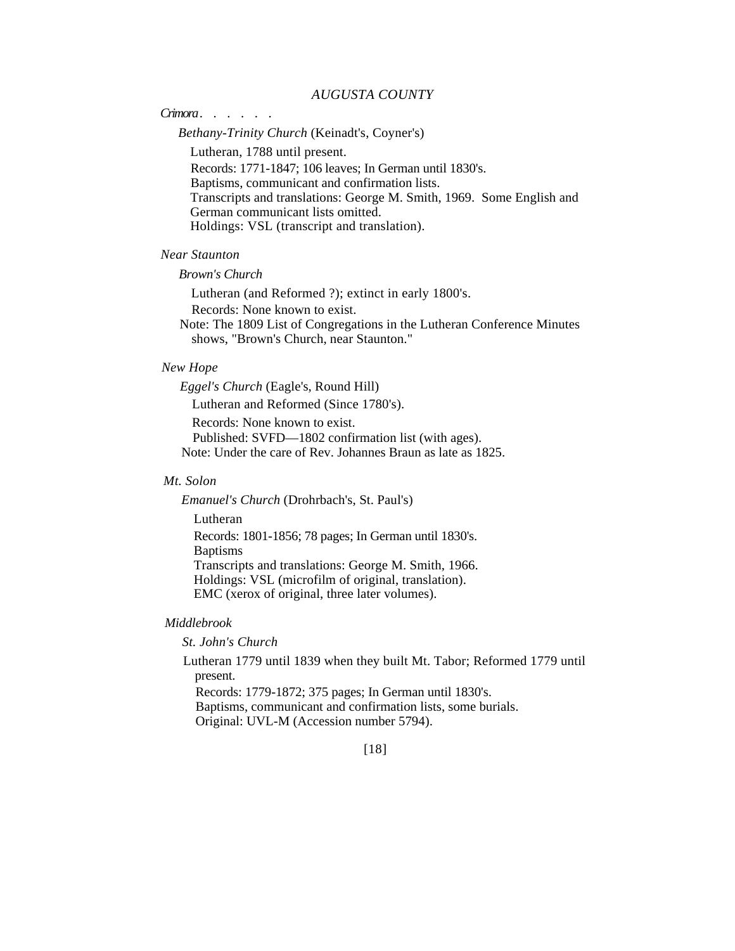## *AUGUSTA COUNTY*

## *Crimora* ......

### *Bethany-Trinity Church* (Keinadt's, Coyner's)

Lutheran, 1788 until present.

Records: 1771-1847; 106 leaves; In German until 1830's. Baptisms, communicant and confirmation lists. Transcripts and translations: George M. Smith, 1969. Some English and German communicant lists omitted. Holdings: VSL (transcript and translation).

## *Near Staunton*

## *Brown's Church*

Lutheran (and Reformed ?); extinct in early 1800's. Records: None known to exist.

Note: The 1809 List of Congregations in the Lutheran Conference Minutes shows, "Brown's Church, near Staunton."

### *New Hope*

*Eggel's Church* (Eagle's, Round Hill) Lutheran and Reformed (Since 1780's). Records: None known to exist. Published: SVFD—1802 confirmation list (with ages).

Note: Under the care of Rev. Johannes Braun as late as 1825.

## *Mt. Solon*

*Emanuel's Church* (Drohrbach's, St. Paul's)

Lutheran

Records: 1801-1856; 78 pages; In German until 1830's. **Baptisms** 

Transcripts and translations: George M. Smith, 1966. Holdings: VSL (microfilm of original, translation). EMC (xerox of original, three later volumes).

## *Middlebrook*

*St. John's Church*

Lutheran 1779 until 1839 when they built Mt. Tabor; Reformed 1779 until present.

Records: 1779-1872; 375 pages; In German until 1830's. Baptisms, communicant and confirmation lists, some burials. Original: UVL-M (Accession number 5794).

[18]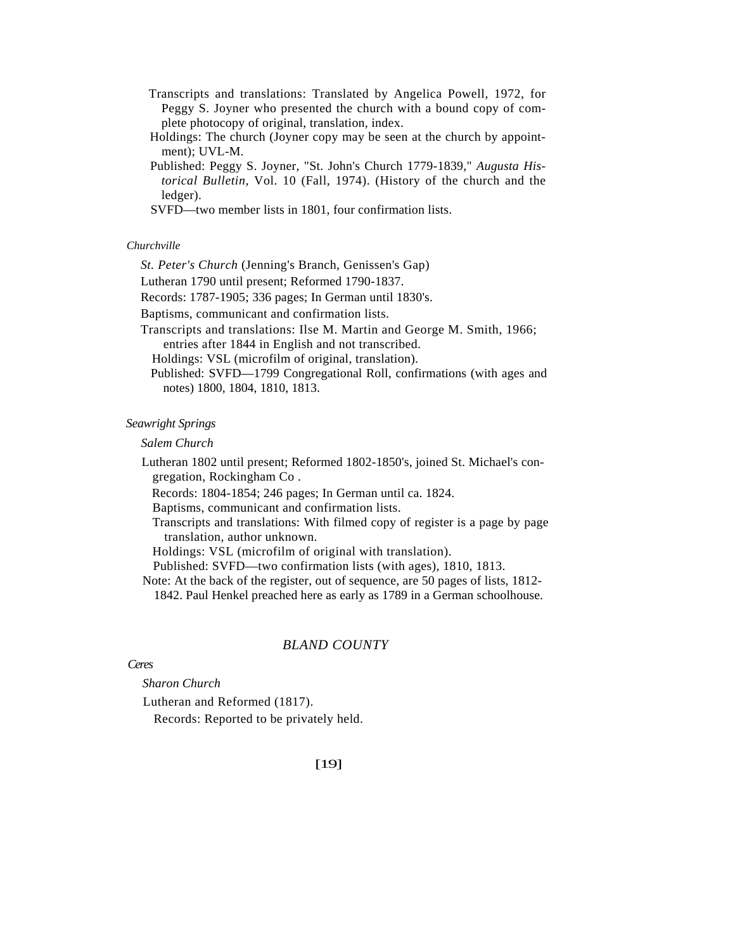- Transcripts and translations: Translated by Angelica Powell, 1972, for Peggy S. Joyner who presented the church with a bound copy of complete photocopy of original, translation, index.
- Holdings: The church (Joyner copy may be seen at the church by appointment); UVL-M.
- Published: Peggy S. Joyner, "St. John's Church 1779-1839," *Augusta Historical Bulletin,* Vol. 10 (Fall, 1974). (History of the church and the ledger).
- SVFD—two member lists in 1801, four confirmation lists.

## *Churchville*

*St. Peter's Church* (Jenning's Branch, Genissen's Gap)

Lutheran 1790 until present; Reformed 1790-1837.

Records: 1787-1905; 336 pages; In German until 1830's.

Baptisms, communicant and confirmation lists.

Transcripts and translations: Ilse M. Martin and George M. Smith, 1966; entries after 1844 in English and not transcribed.

Holdings: VSL (microfilm of original, translation).

Published: SVFD—1799 Congregational Roll, confirmations (with ages and notes) 1800, 1804, 1810, 1813.

### *Seawright Springs*

*Salem Church*

Lutheran 1802 until present; Reformed 1802-1850's, joined St. Michael's congregation, Rockingham Co .

Records: 1804-1854; 246 pages; In German until ca. 1824.

Baptisms, communicant and confirmation lists.

Transcripts and translations: With filmed copy of register is a page by page translation, author unknown.

Holdings: VSL (microfilm of original with translation).

Published: SVFD—two confirmation lists (with ages), 1810, 1813.

Note: At the back of the register, out of sequence, are 50 pages of lists, 1812-

1842. Paul Henkel preached here as early as 1789 in a German schoolhouse.

### *BLAND COUNTY*

### *Ceres*

*Sharon Church*

Lutheran and Reformed (1817).

Records: Reported to be privately held.

## [19]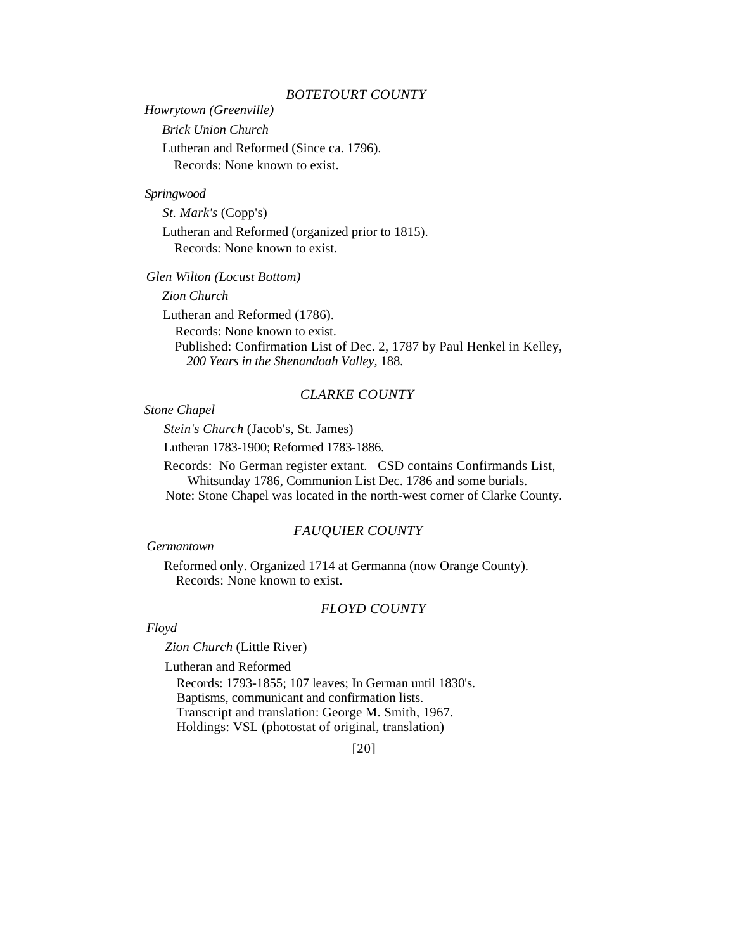## *BOTETOURT COUNTY*

*Howrytown (Greenville)*

*Brick Union Church*

Lutheran and Reformed (Since ca. 1796). Records: None known to exist.

## *Springwood*

*St. Mark's* (Copp's)

Lutheran and Reformed (organized prior to 1815). Records: None known to exist.

*Glen Wilton (Locust Bottom)* 

*Zion Church*

Lutheran and Reformed (1786).

Records: None known to exist.

Published: Confirmation List of Dec. 2, 1787 by Paul Henkel in Kelley, *200 Years in the Shenandoah Valley,* 188.

# *CLARKE COUNTY*

## *Stone Chapel*

*Stein's Church* (Jacob's, St. James)

Lutheran 1783-1900; Reformed 1783-1886.

Records: No German register extant. CSD contains Confirmands List, Whitsunday 1786, Communion List Dec. 1786 and some burials.

Note: Stone Chapel was located in the north-west corner of Clarke County.

## *FAUQUIER COUNTY*

#### *Germantown*

Reformed only. Organized 1714 at Germanna (now Orange County). Records: None known to exist.

# *FLOYD COUNTY*

#### *Floyd*

*Zion Church* (Little River)

Lutheran and Reformed

Records: 1793-1855; 107 leaves; In German until 1830's. Baptisms, communicant and confirmation lists. Transcript and translation: George M. Smith, 1967. Holdings: VSL (photostat of original, translation)

[20]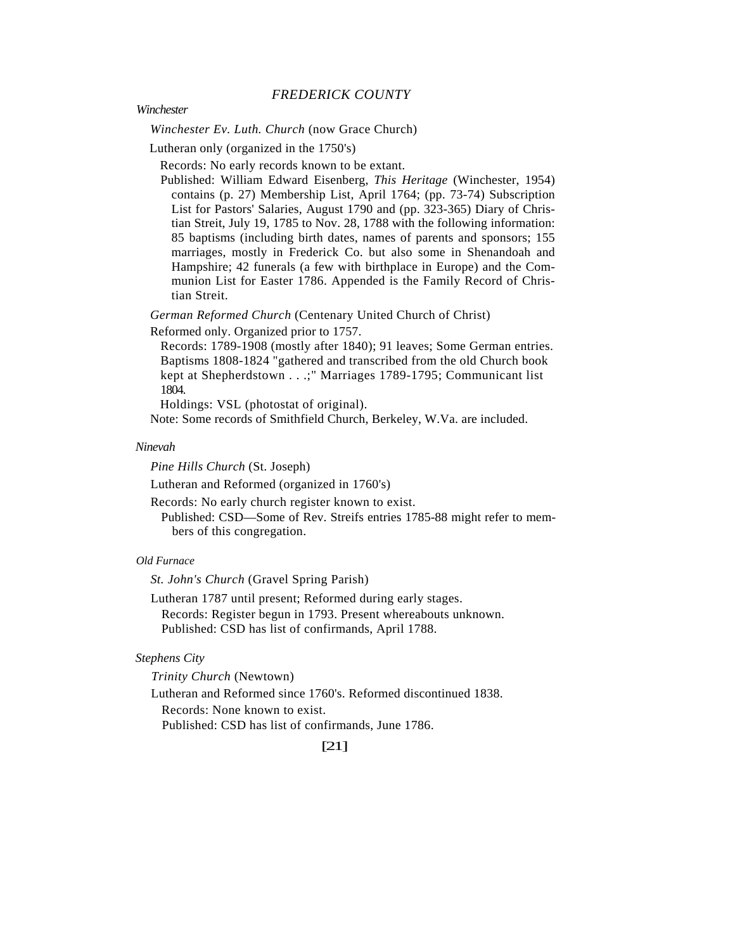*FREDERICK COUNTY*

*Winchester*

*Winchester Ev. Luth. Church* (now Grace Church)

Lutheran only (organized in the 1750's)

Records: No early records known to be extant.

Published: William Edward Eisenberg, *This Heritage* (Winchester, 1954) contains (p. 27) Membership List, April 1764; (pp. 73-74) Subscription List for Pastors' Salaries, August 1790 and (pp. 323-365) Diary of Christian Streit, July 19, 1785 to Nov. 28, 1788 with the following information: 85 baptisms (including birth dates, names of parents and sponsors; 155 marriages, mostly in Frederick Co. but also some in Shenandoah and Hampshire; 42 funerals (a few with birthplace in Europe) and the Communion List for Easter 1786. Appended is the Family Record of Christian Streit.

*German Reformed Church* (Centenary United Church of Christ)

Reformed only. Organized prior to 1757.

Records: 1789-1908 (mostly after 1840); 91 leaves; Some German entries. Baptisms 1808-1824 "gathered and transcribed from the old Church book kept at Shepherdstown . . .;" Marriages 1789-1795; Communicant list 1804.

Holdings: VSL (photostat of original).

Note: Some records of Smithfield Church, Berkeley, W.Va. are included.

#### *Ninevah*

*Pine Hills Church* (St. Joseph)

Lutheran and Reformed (organized in 1760's)

Records: No early church register known to exist.

Published: CSD—Some of Rev. Streifs entries 1785-88 might refer to members of this congregation.

#### *Old Furnace*

*St. John's Church* (Gravel Spring Parish)

Lutheran 1787 until present; Reformed during early stages.

Records: Register begun in 1793. Present whereabouts unknown. Published: CSD has list of confirmands, April 1788.

### *Stephens City*

*Trinity Church* (Newtown)

Lutheran and Reformed since 1760's. Reformed discontinued 1838.

Records: None known to exist. Published: CSD has list of confirmands, June 1786.

[21]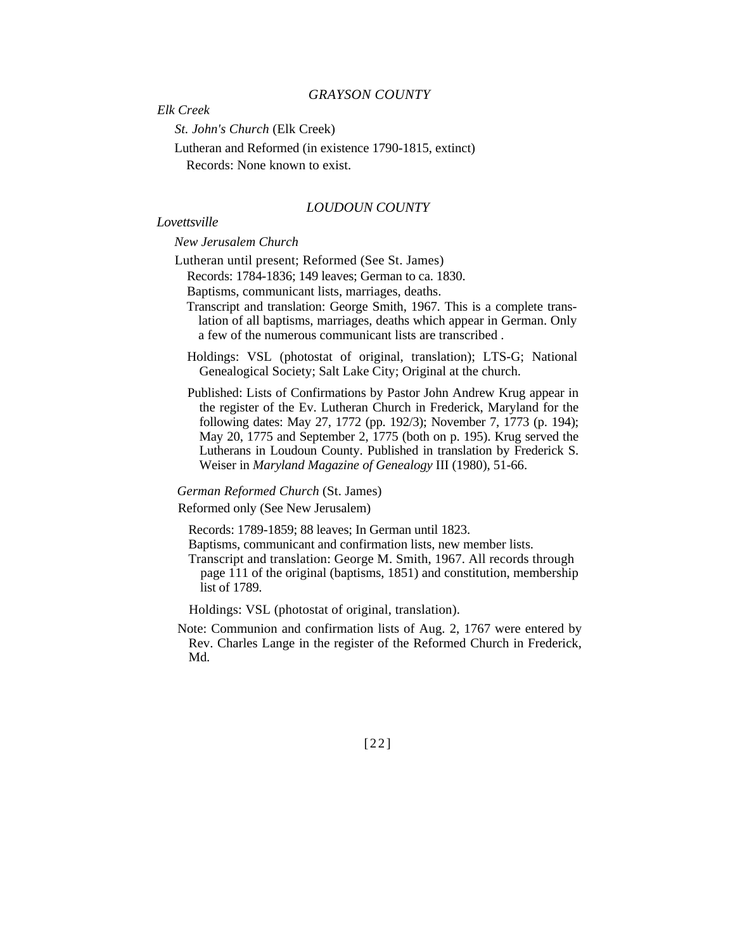### *GRAYSON COUNTY*

*Elk Creek*

*St. John's Church* (Elk Creek)

Lutheran and Reformed (in existence 1790-1815, extinct)

Records: None known to exist.

### *LOUDOUN COUNTY*

## *Lovettsville*

### *New Jerusalem Church*

Lutheran until present; Reformed (See St. James) Records: 1784-1836; 149 leaves; German to ca. 1830.

Baptisms, communicant lists, marriages, deaths.

- Transcript and translation: George Smith, 1967. This is a complete translation of all baptisms, marriages, deaths which appear in German. Only a few of the numerous communicant lists are transcribed .
- Holdings: VSL (photostat of original, translation); LTS-G; National Genealogical Society; Salt Lake City; Original at the church.
- Published: Lists of Confirmations by Pastor John Andrew Krug appear in the register of the Ev. Lutheran Church in Frederick, Maryland for the following dates: May 27, 1772 (pp. 192/3); November 7, 1773 (p. 194); May 20, 1775 and September 2, 1775 (both on p. 195). Krug served the Lutherans in Loudoun County. Published in translation by Frederick S. Weiser in *Maryland Magazine of Genealogy* III (1980), 51-66.

## *German Reformed Church* (St. James)

Reformed only (See New Jerusalem)

Records: 1789-1859; 88 leaves; In German until 1823.

Baptisms, communicant and confirmation lists, new member lists.

Transcript and translation: George M. Smith, 1967. All records through page 111 of the original (baptisms, 1851) and constitution, membership list of 1789.

Holdings: VSL (photostat of original, translation).

Note: Communion and confirmation lists of Aug. 2, 1767 were entered by Rev. Charles Lange in the register of the Reformed Church in Frederick, Md.

[22]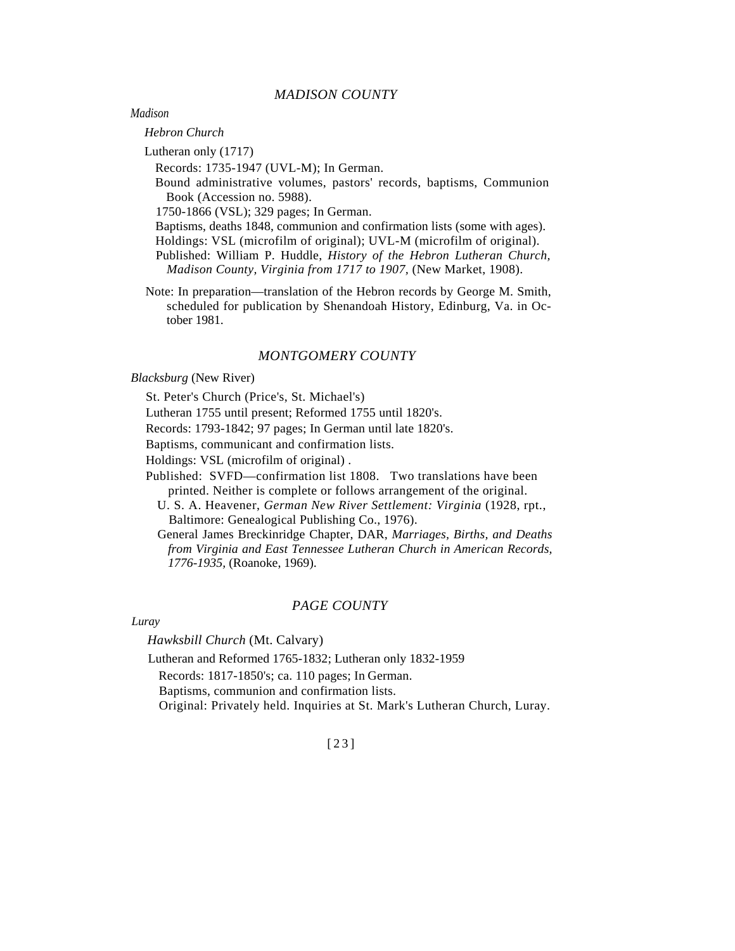### *MADISON COUNTY*

*Madison*

*Hebron Church* 

Lutheran only (1717)

Records: 1735-1947 (UVL-M); In German.

Bound administrative volumes, pastors' records, baptisms, Communion Book (Accession no. 5988).

1750-1866 (VSL); 329 pages; In German.

Baptisms, deaths 1848, communion and confirmation lists (some with ages).

Holdings: VSL (microfilm of original); UVL-M (microfilm of original).

Published: William P. Huddle, *History of the Hebron Lutheran Church, Madison County, Virginia from 1717 to 1907,* (New Market, 1908).

Note: In preparation—translation of the Hebron records by George M. Smith, scheduled for publication by Shenandoah History, Edinburg, Va. in October 1981.

## *MONTGOMERY COUNTY*

*Blacksburg* (New River)

St. Peter's Church (Price's, St. Michael's)

Lutheran 1755 until present; Reformed 1755 until 1820's.

Records: 1793-1842; 97 pages; In German until late 1820's.

Baptisms, communicant and confirmation lists.

Holdings: VSL (microfilm of original) .

Published: SVFD—confirmation list 1808. Two translations have been printed. Neither is complete or follows arrangement of the original.

U. S. A. Heavener, *German New River Settlement: Virginia* (1928, rpt., Baltimore: Genealogical Publishing Co., 1976).

General James Breckinridge Chapter, DAR, *Marriages, Births, and Deaths from Virginia and East Tennessee Lutheran Church in American Records, 1776-1935,* (Roanoke, 1969).

#### *PAGE COUNTY*

*Luray* 

*Hawksbill Church* (Mt. Calvary)

Lutheran and Reformed 1765-1832; Lutheran only 1832-1959

Records: 1817-1850's; ca. 110 pages; In German.

Baptisms, communion and confirmation lists.

Original: Privately held. Inquiries at St. Mark's Lutheran Church, Luray.

## [23]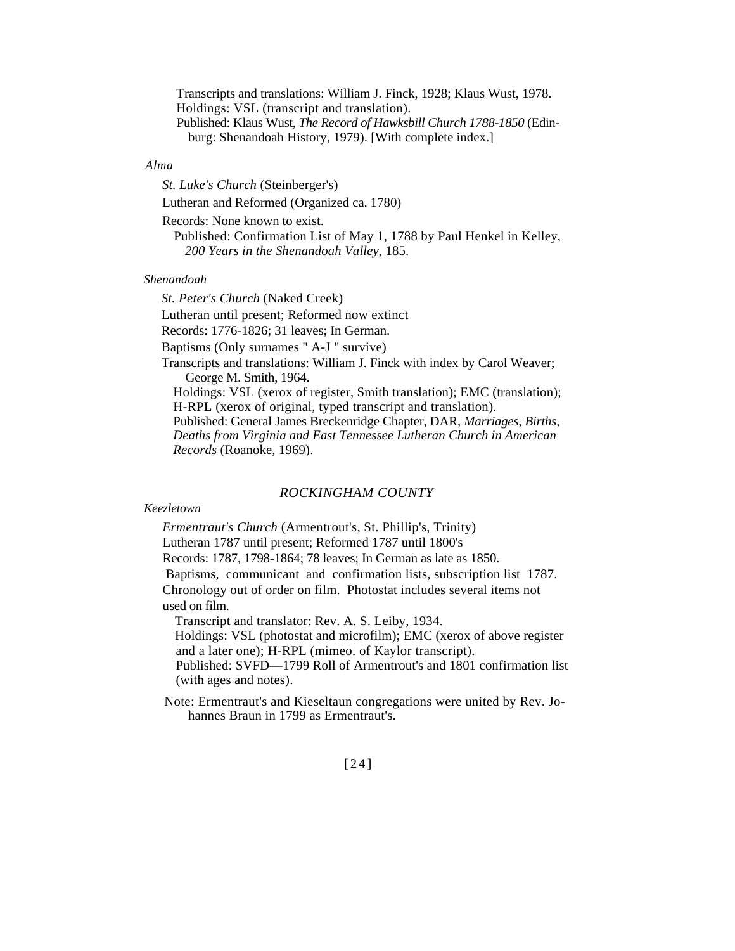Transcripts and translations: William J. Finck, 1928; Klaus Wust, 1978. Holdings: VSL (transcript and translation). Published: Klaus Wust, *The Record of Hawksbill Church 1788-1850* (Edinburg: Shenandoah History, 1979). [With complete index.]

### *Alma*

*St. Luke's Church* (Steinberger's)

Lutheran and Reformed (Organized ca. 1780)

Records: None known to exist.

Published: Confirmation List of May 1, 1788 by Paul Henkel in Kelley, *200 Years in the Shenandoah Valley,* 185.

### *Shenandoah*

*St. Peter's Church* (Naked Creek) Lutheran until present; Reformed now extinct Records: 1776-1826; 31 leaves; In German. Baptisms (Only surnames " A-J " survive) Transcripts and translations: William J. Finck with index by Carol Weaver; George M. Smith, 1964. Holdings: VSL (xerox of register, Smith translation); EMC (translation); H-RPL (xerox of original, typed transcript and translation). Published: General James Breckenridge Chapter, DAR, *Marriages, Births, Deaths from Virginia and East Tennessee Lutheran Church in American Records* (Roanoke, 1969).

## *ROCKINGHAM COUNTY*

#### *Keezletown*

*Ermentraut's Church* (Armentrout's, St. Phillip's, Trinity) Lutheran 1787 until present; Reformed 1787 until 1800's Records: 1787, 1798-1864; 78 leaves; In German as late as 1850. Baptisms, communicant and confirmation lists, subscription list 1787. Chronology out of order on film. Photostat includes several items not used on film. Transcript and translator: Rev. A. S. Leiby, 1934.

Holdings: VSL (photostat and microfilm); EMC (xerox of above register and a later one); H-RPL (mimeo. of Kaylor transcript). Published: SVFD—1799 Roll of Armentrout's and 1801 confirmation list

(with ages and notes).

Note: Ermentraut's and Kieseltaun congregations were united by Rev. Johannes Braun in 1799 as Ermentraut's.

## [24]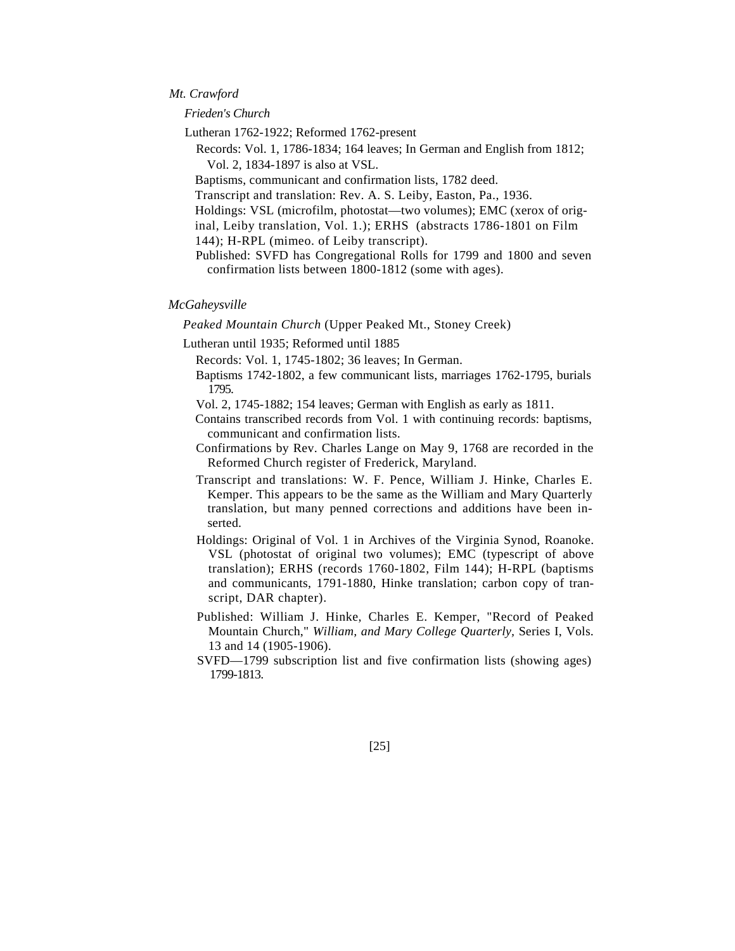### *Mt. Crawford*

*Frieden's Church*

Lutheran 1762-1922; Reformed 1762-present

Records: Vol. 1, 1786-1834; 164 leaves; In German and English from 1812; Vol. 2, 1834-1897 is also at VSL.

Baptisms, communicant and confirmation lists, 1782 deed.

Transcript and translation: Rev. A. S. Leiby, Easton, Pa., 1936.

Holdings: VSL (microfilm, photostat—two volumes); EMC (xerox of original, Leiby translation, Vol. 1.); ERHS (abstracts 1786-1801 on Film

144); H-RPL (mimeo. of Leiby transcript).

Published: SVFD has Congregational Rolls for 1799 and 1800 and seven confirmation lists between 1800-1812 (some with ages).

### *McGaheysville*

*Peaked Mountain Church* (Upper Peaked Mt., Stoney Creek)

Lutheran until 1935; Reformed until 1885

Records: Vol. 1, 1745-1802; 36 leaves; In German.

Baptisms 1742-1802, a few communicant lists, marriages 1762-1795, burials 1795.

Vol. 2, 1745-1882; 154 leaves; German with English as early as 1811.

Contains transcribed records from Vol. 1 with continuing records: baptisms, communicant and confirmation lists.

Confirmations by Rev. Charles Lange on May 9, 1768 are recorded in the Reformed Church register of Frederick, Maryland.

Transcript and translations: W. F. Pence, William J. Hinke, Charles E. Kemper. This appears to be the same as the William and Mary Quarterly translation, but many penned corrections and additions have been inserted.

Holdings: Original of Vol. 1 in Archives of the Virginia Synod, Roanoke. VSL (photostat of original two volumes); EMC (typescript of above translation); ERHS (records 1760-1802, Film 144); H-RPL (baptisms and communicants, 1791-1880, Hinke translation; carbon copy of transcript, DAR chapter).

Published: William J. Hinke, Charles E. Kemper, "Record of Peaked Mountain Church," *William, and Mary College Quarterly,* Series I, Vols. 13 and 14 (1905-1906).

SVFD—1799 subscription list and five confirmation lists (showing ages) 1799-1813.

[25]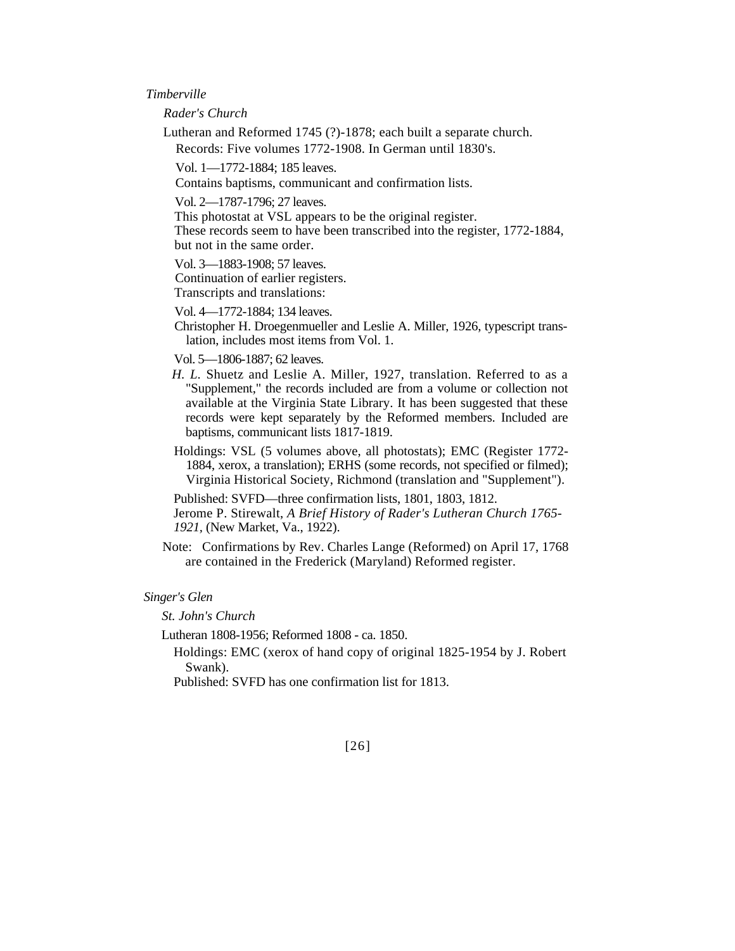### *Timberville*

*Rader's Church*

Lutheran and Reformed 1745 (?)-1878; each built a separate church. Records: Five volumes 1772-1908. In German until 1830's.

Vol. 1—1772-1884; 185 leaves.

Contains baptisms, communicant and confirmation lists.

Vol. 2—1787-1796; 27 leaves.

This photostat at VSL appears to be the original register. These records seem to have been transcribed into the register, 1772-1884, but not in the same order.

Vol. 3—1883-1908; 57 leaves.

Continuation of earlier registers. Transcripts and translations:

Vol. 4—1772-1884; 134 leaves.

Christopher H. Droegenmueller and Leslie A. Miller, 1926, typescript translation, includes most items from Vol. 1.

Vol. 5—1806-1887; 62 leaves.

- *H. L.* Shuetz and Leslie A. Miller, 1927, translation. Referred to as a "Supplement," the records included are from a volume or collection not available at the Virginia State Library. It has been suggested that these records were kept separately by the Reformed members. Included are baptisms, communicant lists 1817-1819.
- Holdings: VSL (5 volumes above, all photostats); EMC (Register 1772- 1884, xerox, a translation); ERHS (some records, not specified or filmed); Virginia Historical Society, Richmond (translation and "Supplement").

Published: SVFD—three confirmation lists, 1801, 1803, 1812.

Jerome P. Stirewalt, *A Brief History of Rader's Lutheran Church 1765- 1921,* (New Market, Va., 1922).

Note: Confirmations by Rev. Charles Lange (Reformed) on April 17, 1768 are contained in the Frederick (Maryland) Reformed register.

### *Singer's Glen*

*St. John's Church*

Lutheran 1808-1956; Reformed 1808 - ca. 1850.

Holdings: EMC (xerox of hand copy of original 1825-1954 by J. Robert Swank).

Published: SVFD has one confirmation list for 1813.

[26]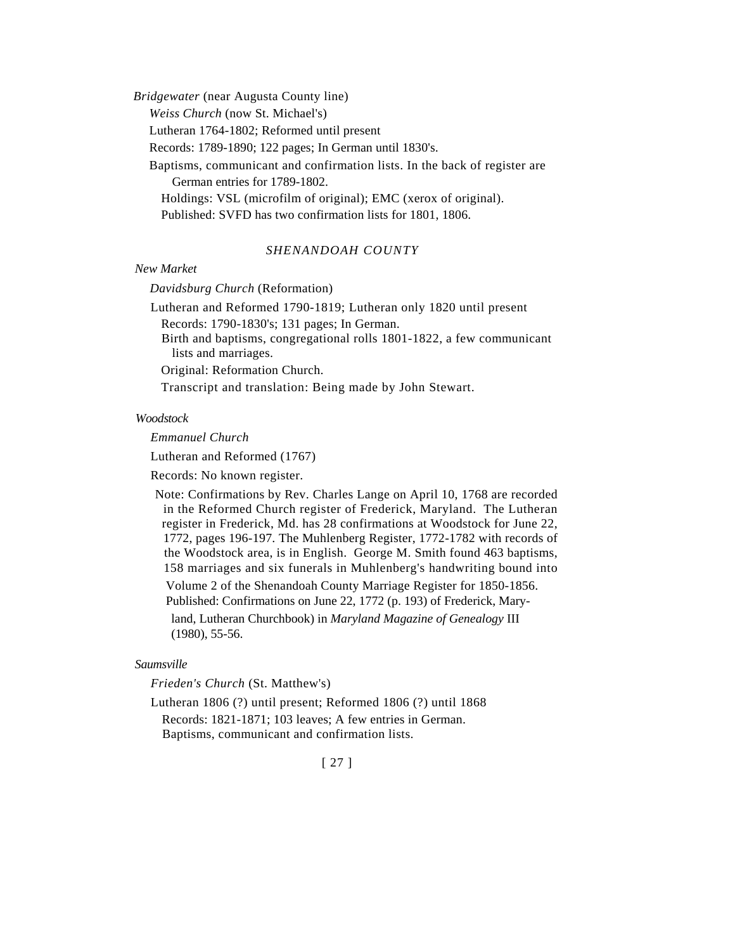*Bridgewater* (near Augusta County line)

*Weiss Church* (now St. Michael's)

Lutheran 1764-1802; Reformed until present

Records: 1789-1890; 122 pages; In German until 1830's.

Baptisms, communicant and confirmation lists. In the back of register are German entries for 1789-1802.

Holdings: VSL (microfilm of original); EMC (xerox of original). Published: SVFD has two confirmation lists for 1801, 1806.

## *SHENANDOAH COUNTY*

#### *New Market*

#### *Davidsburg Church* (Reformation)

Lutheran and Reformed 1790-1819; Lutheran only 1820 until present Records: 1790-1830's; 131 pages; In German.

Birth and baptisms, congregational rolls 1801-1822, a few communicant lists and marriages.

Original: Reformation Church.

Transcript and translation: Being made by John Stewart.

#### *Woodstock*

*Emmanuel Church* 

Lutheran and Reformed (1767)

Records: No known register.

Note: Confirmations by Rev. Charles Lange on April 10, 1768 are recorded in the Reformed Church register of Frederick, Maryland. The Lutheran register in Frederick, Md. has 28 confirmations at Woodstock for June 22, 1772, pages 196-197. The Muhlenberg Register, 1772-1782 with records of the Woodstock area, is in English. George M. Smith found 463 baptisms, 158 marriages and six funerals in Muhlenberg's handwriting bound into

Volume 2 of the Shenandoah County Marriage Register for 1850-1856.

Published: Confirmations on June 22, 1772 (p. 193) of Frederick, Mary-

land, Lutheran Churchbook) in *Maryland Magazine of Genealogy* III (1980), 55-56.

## *Saumsville*

*Frieden's Church* (St. Matthew's)

Lutheran 1806 (?) until present; Reformed 1806 (?) until 1868 Records: 1821-1871; 103 leaves; A few entries in German. Baptisms, communicant and confirmation lists.

## [ 27 ]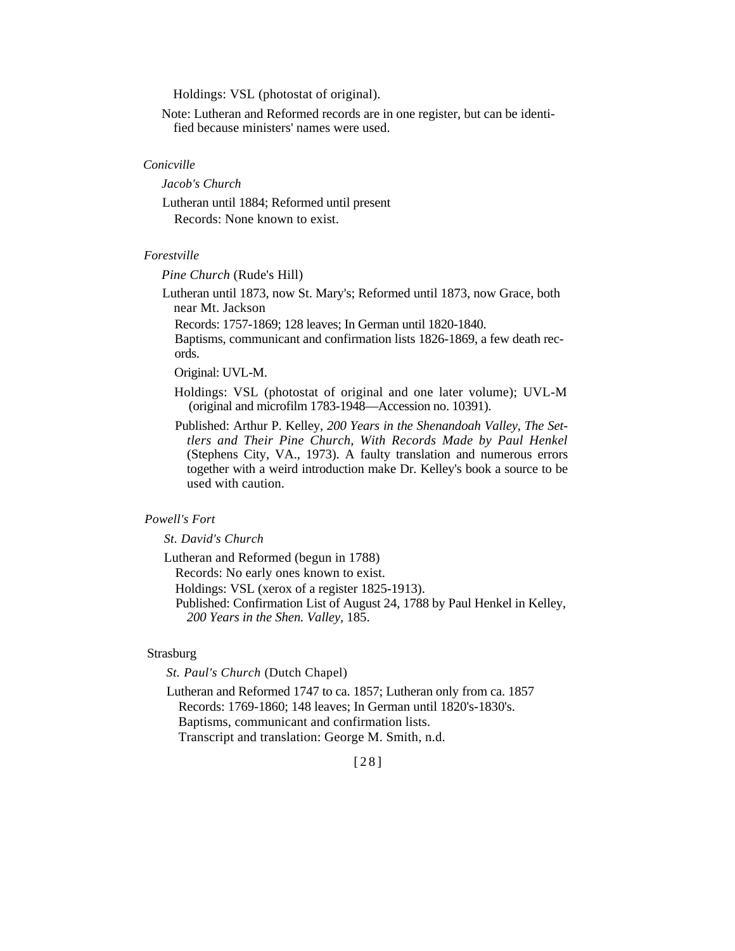Holdings: VSL (photostat of original).

Note: Lutheran and Reformed records are in one register, but can be identified because ministers' names were used.

### *Conicville*

*Jacob's Church*

Lutheran until 1884; Reformed until present Records: None known to exist.

## *Forestville*

*Pine Church* (Rude's Hill)

Lutheran until 1873, now St. Mary's; Reformed until 1873, now Grace, both near Mt. Jackson

Records: 1757-1869; 128 leaves; In German until 1820-1840.

Baptisms, communicant and confirmation lists 1826-1869, a few death records.

Original: UVL-M.

Holdings: VSL (photostat of original and one later volume); UVL-M (original and microfilm 1783-1948—Accession no. 10391).

Published: Arthur P. Kelley, *200 Years in the Shenandoah Valley, The Settlers and Their Pine Church, With Records Made by Paul Henkel*  (Stephens City, VA., 1973). A faulty translation and numerous errors together with a weird introduction make Dr. Kelley's book a source to be used with caution.

## *Powell's Fort*

*St. David's Church*

Lutheran and Reformed (begun in 1788)

Records: No early ones known to exist.

Holdings: VSL (xerox of a register 1825-1913).

Published: Confirmation List of August 24, 1788 by Paul Henkel in Kelley, *200 Years in the Shen. Valley,* 185.

## Strasburg

*St. Paul's Church* (Dutch Chapel)

Lutheran and Reformed 1747 to ca. 1857; Lutheran only from ca. 1857 Records: 1769-1860; 148 leaves; In German until 1820's-1830's. Baptisms, communicant and confirmation lists. Transcript and translation: George M. Smith, n.d.

[28]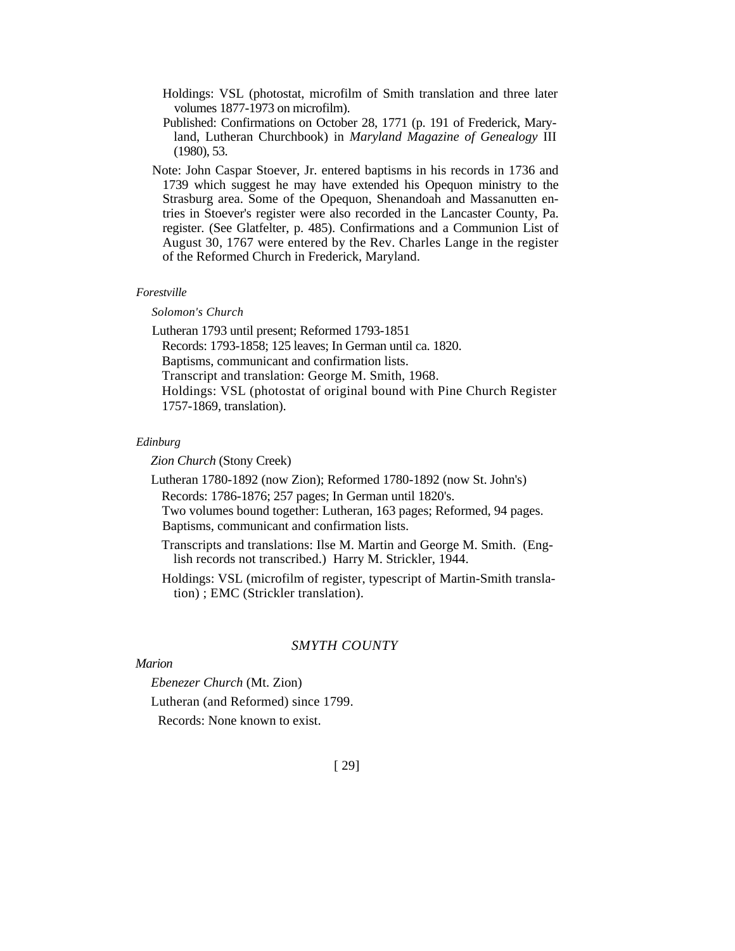- Holdings: VSL (photostat, microfilm of Smith translation and three later volumes 1877-1973 on microfilm).
- Published: Confirmations on October 28, 1771 (p. 191 of Frederick, Maryland, Lutheran Churchbook) in *Maryland Magazine of Genealogy* III (1980), 53.
- Note: John Caspar Stoever, Jr. entered baptisms in his records in 1736 and 1739 which suggest he may have extended his Opequon ministry to the Strasburg area. Some of the Opequon, Shenandoah and Massanutten entries in Stoever's register were also recorded in the Lancaster County, Pa. register. (See Glatfelter, p. 485). Confirmations and a Communion List of August 30, 1767 were entered by the Rev. Charles Lange in the register of the Reformed Church in Frederick, Maryland.

### *Forestville*

### *Solomon's Church*

Lutheran 1793 until present; Reformed 1793-1851 Records: 1793-1858; 125 leaves; In German until ca. 1820. Baptisms, communicant and confirmation lists. Transcript and translation: George M. Smith, 1968. Holdings: VSL (photostat of original bound with Pine Church Register 1757-1869, translation).

### *Edinburg*

*Zion Church* (Stony Creek)

Lutheran 1780-1892 (now Zion); Reformed 1780-1892 (now St. John's) Records: 1786-1876; 257 pages; In German until 1820's. Two volumes bound together: Lutheran, 163 pages; Reformed, 94 pages.

Baptisms, communicant and confirmation lists.

- Transcripts and translations: Ilse M. Martin and George M. Smith. (English records not transcribed.) Harry M. Strickler, 1944.
- Holdings: VSL (microfilm of register, typescript of Martin-Smith translation) ; EMC (Strickler translation).

### *SMYTH COUNTY*

### *Marion*

*Ebenezer Church* (Mt. Zion)

Lutheran (and Reformed) since 1799.

Records: None known to exist.

## [ 29]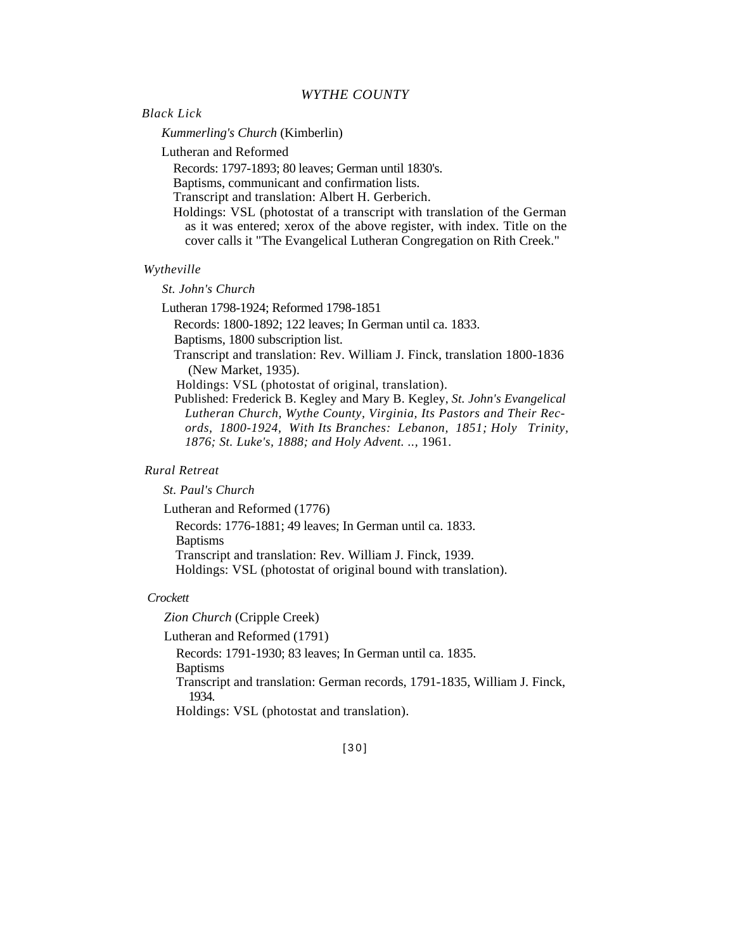## *WYTHE COUNTY*

### *Black Lick*

*Kummerling's Church* (Kimberlin)

Lutheran and Reformed

Records: 1797-1893; 80 leaves; German until 1830's.

Baptisms, communicant and confirmation lists.

Transcript and translation: Albert H. Gerberich.

Holdings: VSL (photostat of a transcript with translation of the German as it was entered; xerox of the above register, with index. Title on the cover calls it "The Evangelical Lutheran Congregation on Rith Creek."

### *Wytheville*

#### *St. John's Church*

Lutheran 1798-1924; Reformed 1798-1851

Records: 1800-1892; 122 leaves; In German until ca. 1833.

Baptisms, 1800 subscription list.

Transcript and translation: Rev. William J. Finck, translation 1800-1836 (New Market, 1935).

Holdings: VSL (photostat of original, translation).

Published: Frederick B. Kegley and Mary B. Kegley, *St. John's Evangelical Lutheran Church, Wythe County, Virginia, Its Pastors and Their Records, 1800-1924, With Its Branches: Lebanon, 1851; Holy Trinity, 1876; St. Luke's, 1888; and Holy Advent. ..,* 1961.

### *Rural Retreat*

*St. Paul's Church*

Lutheran and Reformed (1776)

Records: 1776-1881; 49 leaves; In German until ca. 1833. Baptisms

Transcript and translation: Rev. William J. Finck, 1939.

Holdings: VSL (photostat of original bound with translation).

#### *Crockett*

*Zion Church* (Cripple Creek)

Lutheran and Reformed (1791)

Records: 1791-1930; 83 leaves; In German until ca. 1835. **Baptisms** 

Transcript and translation: German records, 1791-1835, William J. Finck, 1934.

Holdings: VSL (photostat and translation).

[30]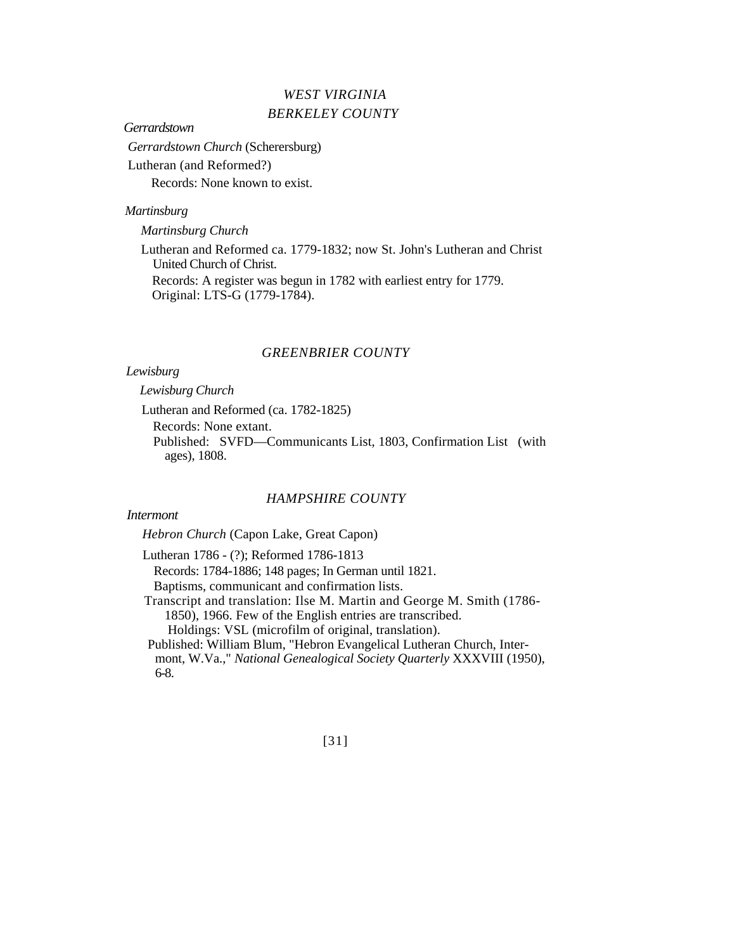# *WEST VIRGINIA BERKELEY COUNTY*

## *Gerrardstown*

*Gerrardstown Church* (Scherersburg) Lutheran (and Reformed?) Records: None known to exist.

## *Martinsburg*

*Martinsburg Church*

Lutheran and Reformed ca. 1779-1832; now St. John's Lutheran and Christ United Church of Christ. Records: A register was begun in 1782 with earliest entry for 1779. Original: LTS-G (1779-1784).

## *GREENBRIER COUNTY*

## *Lewisburg*

 *Lewisburg Church*

Lutheran and Reformed (ca. 1782-1825)

Records: None extant.

Published: SVFD—Communicants List, 1803, Confirmation List (with ages), 1808.

## *HAMPSHIRE COUNTY*

# *Intermont*

*Hebron Church* (Capon Lake, Great Capon)

Lutheran 1786 - (?); Reformed 1786-1813

Records: 1784-1886; 148 pages; In German until 1821. Baptisms, communicant and confirmation lists.

Transcript and translation: Ilse M. Martin and George M. Smith (1786- 1850), 1966. Few of the English entries are transcribed. Holdings: VSL (microfilm of original, translation). Published: William Blum, "Hebron Evangelical Lutheran Church, Inter-

mont, W.Va.," *National Genealogical Society Quarterly* XXXVIII (1950), 6-8.

[31]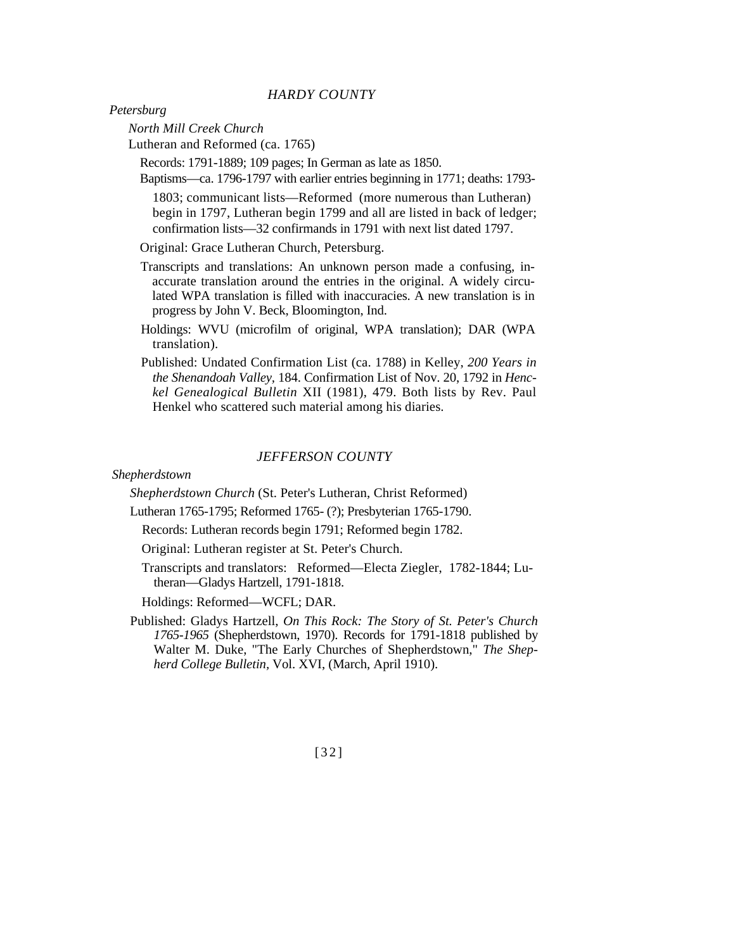## *HARDY COUNTY*

*Petersburg*

*North Mill Creek Church* 

Lutheran and Reformed (ca. 1765)

Records: 1791-1889; 109 pages; In German as late as 1850.

Baptisms—ca. 1796-1797 with earlier entries beginning in 1771; deaths: 1793-

1803; communicant lists—Reformed (more numerous than Lutheran) begin in 1797, Lutheran begin 1799 and all are listed in back of ledger; confirmation lists—32 confirmands in 1791 with next list dated 1797.

Original: Grace Lutheran Church, Petersburg.

- Transcripts and translations: An unknown person made a confusing, inaccurate translation around the entries in the original. A widely circulated WPA translation is filled with inaccuracies. A new translation is in progress by John V. Beck, Bloomington, Ind.
- Holdings: WVU (microfilm of original, WPA translation); DAR (WPA translation).
- Published: Undated Confirmation List (ca. 1788) in Kelley, *200 Years in the Shenandoah Valley,* 184. Confirmation List of Nov. 20, 1792 in *Henckel Genealogical Bulletin* XII (1981), 479. Both lists by Rev. Paul Henkel who scattered such material among his diaries.

## *JEFFERSON COUNTY*

*Shepherdstown*

*Shepherdstown Church* (St. Peter's Lutheran, Christ Reformed)

- Lutheran 1765-1795; Reformed 1765- (?); Presbyterian 1765-1790.
	- Records: Lutheran records begin 1791; Reformed begin 1782.
	- Original: Lutheran register at St. Peter's Church.
	- Transcripts and translators: Reformed—Electa Ziegler, 1782-1844; Lutheran—Gladys Hartzell, 1791-1818.
	- Holdings: Reformed—WCFL; DAR.
- Published: Gladys Hartzell, *On This Rock: The Story of St. Peter's Church 1765-1965* (Shepherdstown, 1970). Records for 1791-1818 published by Walter M. Duke, "The Early Churches of Shepherdstown," *The Shepherd College Bulletin,* Vol. XVI, (March, April 1910).

[32]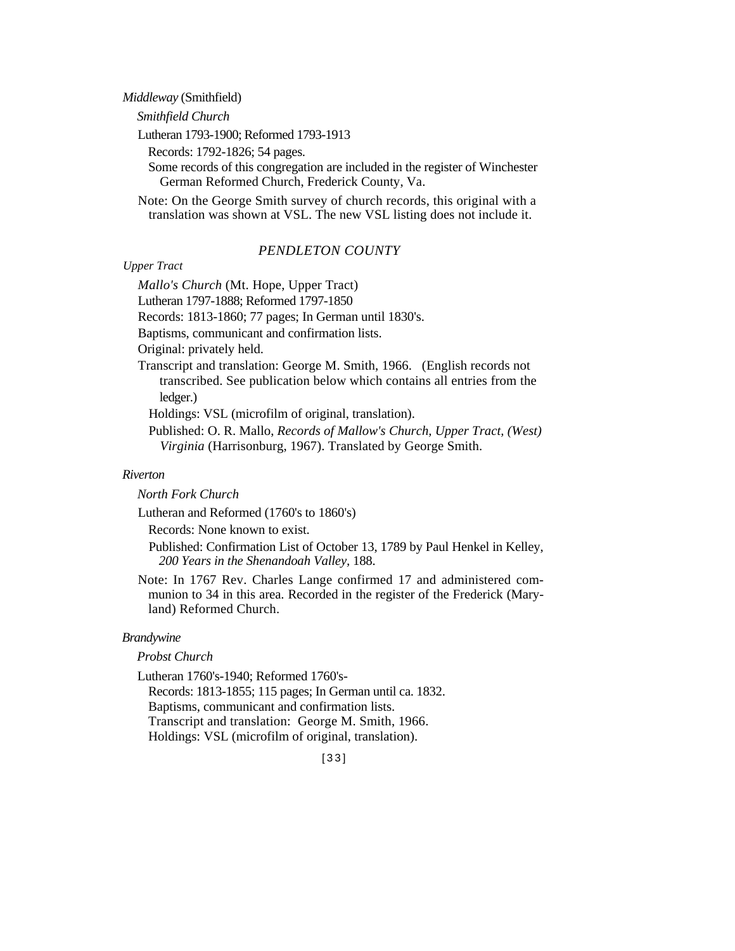*Middleway* (Smithfield)

*Smithfield Church*

Lutheran 1793-1900; Reformed 1793-1913

Records: 1792-1826; 54 pages.

Some records of this congregation are included in the register of Winchester German Reformed Church, Frederick County, Va.

Note: On the George Smith survey of church records, this original with a translation was shown at VSL. The new VSL listing does not include it.

## *PENDLETON COUNTY*

### *Upper Tract*

*Mallo's Church* (Mt. Hope, Upper Tract)

Lutheran 1797-1888; Reformed 1797-1850

Records: 1813-1860; 77 pages; In German until 1830's.

Baptisms, communicant and confirmation lists.

Original: privately held.

Transcript and translation: George M. Smith, 1966. (English records not transcribed. See publication below which contains all entries from the ledger.)

Holdings: VSL (microfilm of original, translation).

Published: O. R. Mallo, *Records of Mallow's Church, Upper Tract, (West) Virginia* (Harrisonburg, 1967). Translated by George Smith.

## *Riverton*

*North Fork Church*

Lutheran and Reformed (1760's to 1860's)

Records: None known to exist.

Published: Confirmation List of October 13, 1789 by Paul Henkel in Kelley, *200 Years in the Shenandoah Valley,* 188.

Note: In 1767 Rev. Charles Lange confirmed 17 and administered communion to 34 in this area. Recorded in the register of the Frederick (Maryland) Reformed Church.

### *Brandywine*

### *Probst Church*

Lutheran 1760's-1940; Reformed 1760's-Records: 1813-1855; 115 pages; In German until ca. 1832. Baptisms, communicant and confirmation lists. Transcript and translation: George M. Smith, 1966.

Holdings: VSL (microfilm of original, translation).

[33]